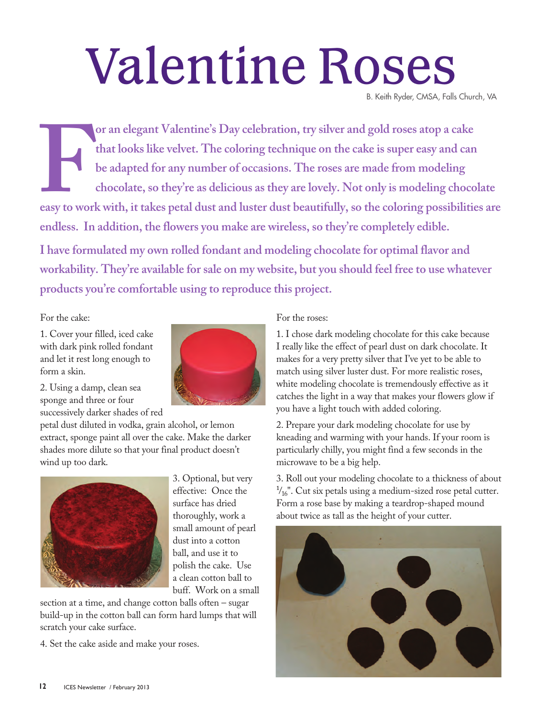## Valentine Roses

B. Keith Ryder, CMSA, Falls Church, VA

For an elegant Valentine's Day celebration, try silver and gold roses atop a cake<br>that looks like velvet. The coloring technique on the cake is super easy and can<br>be adapted for any number of occasions. The roses are made **that looks like velvet. The coloring technique on the cake is super easy and can be adapted for any number of occasions. The roses are made from modeling chocolate, so they're as delicious as they are lovely. Not only is modeling chocolate easy to work with, it takes petal dust and luster dust beautifully, so the coloring possibilities are endless. In addition, the flowers you make are wireless, so they're completely edible. I have formulated my own rolled fondant and modeling chocolate for optimal flavor and workability. They're available for sale on my website, but you should feel free to use whatever** 

**products you're comfortable using to reproduce this project.**

For the cake:

1. Cover your filled, iced cake with dark pink rolled fondant and let it rest long enough to form a skin.



2. Using a damp, clean sea sponge and three or four successively darker shades of red

petal dust diluted in vodka, grain alcohol, or lemon extract, sponge paint all over the cake. Make the darker shades more dilute so that your final product doesn't wind up too dark.



3. Optional, but very effective: Once the surface has dried thoroughly, work a small amount of pearl dust into a cotton ball, and use it to polish the cake. Use a clean cotton ball to buff. Work on a small

section at a time, and change cotton balls often – sugar build-up in the cotton ball can form hard lumps that will scratch your cake surface.

4. Set the cake aside and make your roses.

## For the roses:

1. I chose dark modeling chocolate for this cake because I really like the effect of pearl dust on dark chocolate. It makes for a very pretty silver that I've yet to be able to match using silver luster dust. For more realistic roses, white modeling chocolate is tremendously effective as it catches the light in a way that makes your flowers glow if you have a light touch with added coloring.

2. Prepare your dark modeling chocolate for use by kneading and warming with your hands. If your room is particularly chilly, you might find a few seconds in the microwave to be a big help.

3. Roll out your modeling chocolate to a thickness of about  $\frac{1}{16}$ ". Cut six petals using a medium-sized rose petal cutter. Form a rose base by making a teardrop-shaped mound about twice as tall as the height of your cutter.

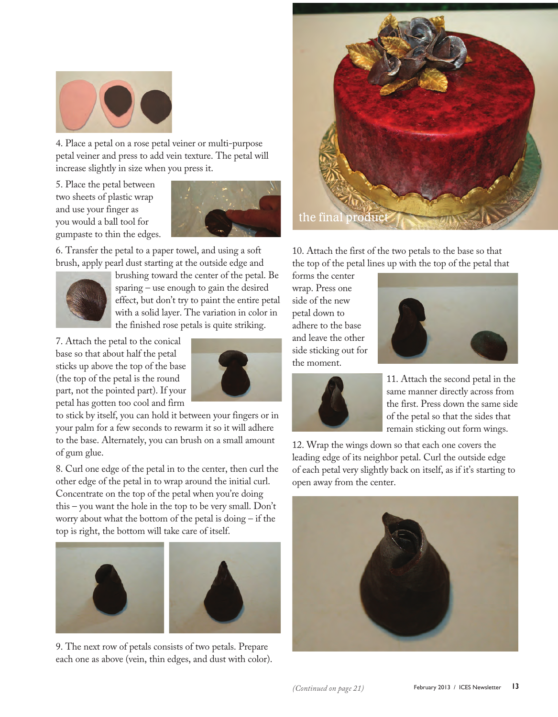

4. Place a petal on a rose petal veiner or multi-purpose petal veiner and press to add vein texture. The petal will increase slightly in size when you press it.

5. Place the petal between two sheets of plastic wrap and use your finger as you would a ball tool for gumpaste to thin the edges.



6. Transfer the petal to a paper towel, and using a soft brush, apply pearl dust starting at the outside edge and



brushing toward the center of the petal. Be sparing – use enough to gain the desired effect, but don't try to paint the entire petal with a solid layer. The variation in color in the finished rose petals is quite striking.

7. Attach the petal to the conical base so that about half the petal sticks up above the top of the base (the top of the petal is the round part, not the pointed part). If your petal has gotten too cool and firm



to stick by itself, you can hold it between your fingers or in your palm for a few seconds to rewarm it so it will adhere to the base. Alternately, you can brush on a small amount of gum glue.

8. Curl one edge of the petal in to the center, then curl the other edge of the petal in to wrap around the initial curl. Concentrate on the top of the petal when you're doing this – you want the hole in the top to be very small. Don't worry about what the bottom of the petal is doing – if the top is right, the bottom will take care of itself.



9. The next row of petals consists of two petals. Prepare each one as above (vein, thin edges, and dust with color).



10. Attach the first of the two petals to the base so that the top of the petal lines up with the top of the petal that

forms the center wrap. Press one side of the new petal down to adhere to the base and leave the other side sticking out for the moment.





11. Attach the second petal in the same manner directly across from the first. Press down the same side of the petal so that the sides that remain sticking out form wings.

12. Wrap the wings down so that each one covers the leading edge of its neighbor petal. Curl the outside edge of each petal very slightly back on itself, as if it's starting to open away from the center.